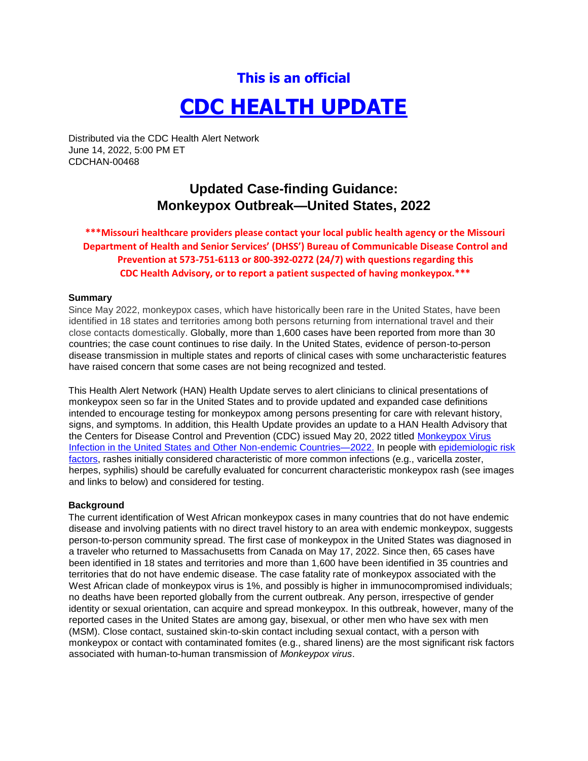# **This is an official CDC HEALTH UPDATE**

Distributed via the CDC Health Alert Network June 14, 2022, 5:00 PM ET CDCHAN-00468

## **Updated Case-finding Guidance: Monkeypox Outbreak—United States, 2022**

### **\*\*\*Missouri healthcare providers please contact your local public health agency or the Missouri Department of Health and Senior Services' (DHSS') Bureau of Communicable Disease Control and Prevention at 573-751-6113 or 800-392-0272 (24/7) with questions regarding this CDC Health Advisory, or to report a patient suspected of having monkeypox.\*\*\***

#### **Summary**

Since May 2022, monkeypox cases, which have historically been rare in the United States, have been identified in 18 states and territories among both persons returning from international travel and their close contacts domestically. Globally, more than 1,600 cases have been reported from more than 30 countries; the case count continues to rise daily. In the United States, evidence of person-to-person disease transmission in multiple states and reports of clinical cases with some uncharacteristic features have raised concern that some cases are not being recognized and tested.

This Health Alert Network (HAN) Health Update serves to alert clinicians to clinical presentations of monkeypox seen so far in the United States and to provide updated and expanded case definitions intended to encourage testing for monkeypox among persons presenting for care with relevant history, signs, and symptoms. In addition, this Health Update provides an update to a HAN Health Advisory that the Centers for Disease Control and Prevention (CDC) issued May 20, 2022 titled [Monkeypox Virus](https://emergency.cdc.gov/han/2022/han00466.asp) [Infection in the United States and Other Non-endemic Countries—2022.](https://emergency.cdc.gov/han/2022/han00466.asp) In people with [epidemiologic risk](https://www.cdc.gov/poxvirus/monkeypox/clinicians/case-definition.html) [factors,](https://www.cdc.gov/poxvirus/monkeypox/clinicians/case-definition.html) rashes initially considered characteristic of more common infections (e.g., varicella zoster, herpes, syphilis) should be carefully evaluated for concurrent characteristic monkeypox rash (see images and links to below) and considered for testing.

#### **Background**

The current identification of West African monkeypox cases in many countries that do not have endemic disease and involving patients with no direct travel history to an area with endemic monkeypox, suggests person-to-person community spread. The first case of monkeypox in the United States was diagnosed in a traveler who returned to Massachusetts from Canada on May 17, 2022. Since then, 65 cases have been identified in 18 states and territories and more than 1,600 have been identified in 35 countries and territories that do not have endemic disease. The case fatality rate of monkeypox associated with the West African clade of monkeypox virus is 1%, and possibly is higher in immunocompromised individuals; no deaths have been reported globally from the current outbreak. Any person, irrespective of gender identity or sexual orientation, can acquire and spread monkeypox. In this outbreak, however, many of the reported cases in the United States are among gay, bisexual, or other men who have sex with men (MSM). Close contact, sustained skin-to-skin contact including sexual contact, with a person with monkeypox or contact with contaminated fomites (e.g., shared linens) are the most significant risk factors associated with human-to-human transmission of *Monkeypox virus*.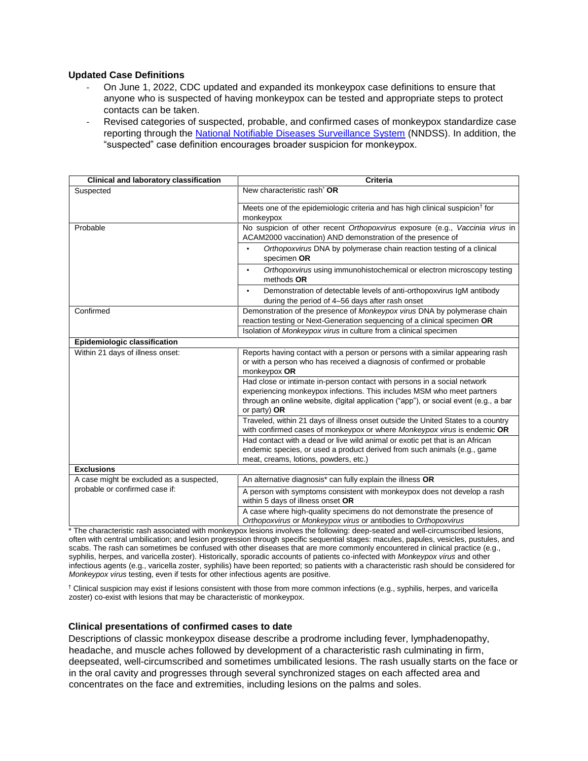#### **Updated Case Definitions**

- On June 1, 2022, CDC updated and expanded its monkeypox case definitions to ensure that anyone who is suspected of having monkeypox can be tested and appropriate steps to protect contacts can be taken.
- Revised categories of suspected, probable, and confirmed cases of monkeypox standardize case reporting through the [National Notifiable Diseases Surveillance System](https://www.cdc.gov/nndss/index.html) [\(](https://www.cdc.gov/nndss/index.html)NNDSS). In addition, the "suspected" case definition encourages broader suspicion for monkeypox.

| <b>Clinical and laboratory classification</b> | <b>Criteria</b>                                                                                                                                                                                                                                              |
|-----------------------------------------------|--------------------------------------------------------------------------------------------------------------------------------------------------------------------------------------------------------------------------------------------------------------|
| Suspected                                     | New characteristic rash <sup>*</sup> OR                                                                                                                                                                                                                      |
|                                               | Meets one of the epidemiologic criteria and has high clinical suspicion <sup>†</sup> for<br>monkeypox                                                                                                                                                        |
| Probable                                      | No suspicion of other recent Orthopoxvirus exposure (e.g., Vaccinia virus in<br>ACAM2000 vaccination) AND demonstration of the presence of                                                                                                                   |
|                                               | Orthopoxvirus DNA by polymerase chain reaction testing of a clinical<br>specimen OR                                                                                                                                                                          |
|                                               | Orthopoxvirus using immunohistochemical or electron microscopy testing<br>$\bullet$<br>methods OR                                                                                                                                                            |
|                                               | Demonstration of detectable levels of anti-orthopoxyirus IgM antibody<br>$\bullet$<br>during the period of 4-56 days after rash onset                                                                                                                        |
| Confirmed                                     | Demonstration of the presence of Monkeypox virus DNA by polymerase chain<br>reaction testing or Next-Generation sequencing of a clinical specimen OR                                                                                                         |
|                                               | Isolation of Monkeypox virus in culture from a clinical specimen                                                                                                                                                                                             |
| Epidemiologic classification                  |                                                                                                                                                                                                                                                              |
| Within 21 days of illness onset:              | Reports having contact with a person or persons with a similar appearing rash<br>or with a person who has received a diagnosis of confirmed or probable<br>monkeypox OR                                                                                      |
|                                               | Had close or intimate in-person contact with persons in a social network<br>experiencing monkeypox infections. This includes MSM who meet partners<br>through an online website, digital application ("app"), or social event (e.g., a bar<br>or party) $OR$ |
|                                               | Traveled, within 21 days of illness onset outside the United States to a country<br>with confirmed cases of monkeypox or where Monkeypox virus is endemic OR                                                                                                 |
|                                               | Had contact with a dead or live wild animal or exotic pet that is an African<br>endemic species, or used a product derived from such animals (e.g., game<br>meat, creams, lotions, powders, etc.)                                                            |
| <b>Exclusions</b>                             |                                                                                                                                                                                                                                                              |
| A case might be excluded as a suspected,      | An alternative diagnosis <sup>*</sup> can fully explain the illness OR                                                                                                                                                                                       |
| probable or confirmed case if:                | A person with symptoms consistent with monkeypox does not develop a rash<br>within 5 days of illness onset OR                                                                                                                                                |
|                                               | A case where high-quality specimens do not demonstrate the presence of<br>Orthopoxvirus or Monkeypox virus or antibodies to Orthopoxvirus                                                                                                                    |

\* The characteristic rash associated with monkeypox lesions involves the following: deep-seated and well-circumscribed lesions, often with central umbilication; and lesion progression through specific sequential stages: macules, papules, vesicles, pustules, and scabs. The rash can sometimes be confused with other diseases that are more commonly encountered in clinical practice (e.g., syphilis, herpes, and varicella zoster). Historically, sporadic accounts of patients co-infected with *Monkeypox virus* and other infectious agents (e.g., varicella zoster, syphilis) have been reported; so patients with a characteristic rash should be considered for *Monkeypox virus* testing, even if tests for other infectious agents are positive.

† Clinical suspicion may exist if lesions consistent with those from more common infections (e.g., syphilis, herpes, and varicella zoster) co-exist with lesions that may be characteristic of monkeypox.

#### **Clinical presentations of confirmed cases to date**

Descriptions of classic monkeypox disease describe a prodrome including fever, lymphadenopathy, headache, and muscle aches followed by development of a characteristic rash culminating in firm, deepseated, well-circumscribed and sometimes umbilicated lesions. The rash usually starts on the face or in the oral cavity and progresses through several synchronized stages on each affected area and concentrates on the face and extremities, including lesions on the palms and soles.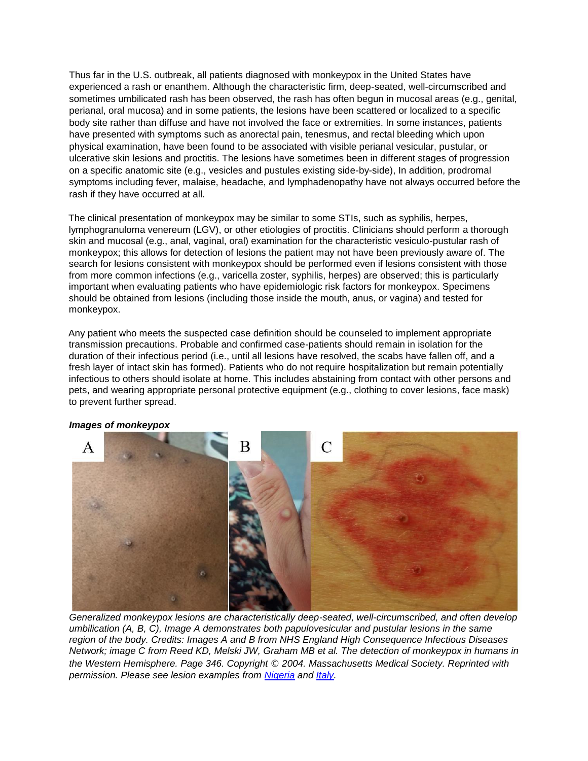Thus far in the U.S. outbreak, all patients diagnosed with monkeypox in the United States have experienced a rash or enanthem. Although the characteristic firm, deep-seated, well-circumscribed and sometimes umbilicated rash has been observed, the rash has often begun in mucosal areas (e.g., genital, perianal, oral mucosa) and in some patients, the lesions have been scattered or localized to a specific body site rather than diffuse and have not involved the face or extremities. In some instances, patients have presented with symptoms such as anorectal pain, tenesmus, and rectal bleeding which upon physical examination, have been found to be associated with visible perianal vesicular, pustular, or ulcerative skin lesions and proctitis. The lesions have sometimes been in different stages of progression on a specific anatomic site (e.g., vesicles and pustules existing side-by-side), In addition, prodromal symptoms including fever, malaise, headache, and lymphadenopathy have not always occurred before the rash if they have occurred at all.

The clinical presentation of monkeypox may be similar to some STIs, such as syphilis, herpes, lymphogranuloma venereum (LGV), or other etiologies of proctitis. Clinicians should perform a thorough skin and mucosal (e.g., anal, vaginal, oral) examination for the characteristic vesiculo-pustular rash of monkeypox; this allows for detection of lesions the patient may not have been previously aware of. The search for lesions consistent with monkeypox should be performed even if lesions consistent with those from more common infections (e.g., varicella zoster, syphilis, herpes) are observed; this is particularly important when evaluating patients who have epidemiologic risk factors for monkeypox. Specimens should be obtained from lesions (including those inside the mouth, anus, or vagina) and tested for monkeypox.

Any patient who meets the suspected case definition should be counseled to implement appropriate transmission precautions. Probable and confirmed case-patients should remain in isolation for the duration of their infectious period (i.e., until all lesions have resolved, the scabs have fallen off, and a fresh layer of intact skin has formed). Patients who do not require hospitalization but remain potentially infectious to others should isolate at home. This includes abstaining from contact with other persons and pets, and wearing appropriate personal protective equipment (e.g., clothing to cover lesions, face mask) to prevent further spread.



#### *Images of monkeypox*

*Generalized monkeypox lesions are characteristically deep-seated, well-circumscribed, and often develop umbilication (A, B, C), Image A demonstrates both papulovesicular and pustular lesions in the same region of the body. Credits: Images A and B from NHS England High Consequence Infectious Diseases Network; image C from Reed KD, Melski JW, Graham MB et al. The detection of monkeypox in humans in the Western Hemisphere. Page 346. Copyright* © *2004. Massachusetts Medical Society. Reprinted with permission. Please see lesion examples from [Nigeria](https://pubmed.ncbi.nlm.nih.gov/32052029/) and [Italy.](https://pubmed.ncbi.nlm.nih.gov/35656836/)*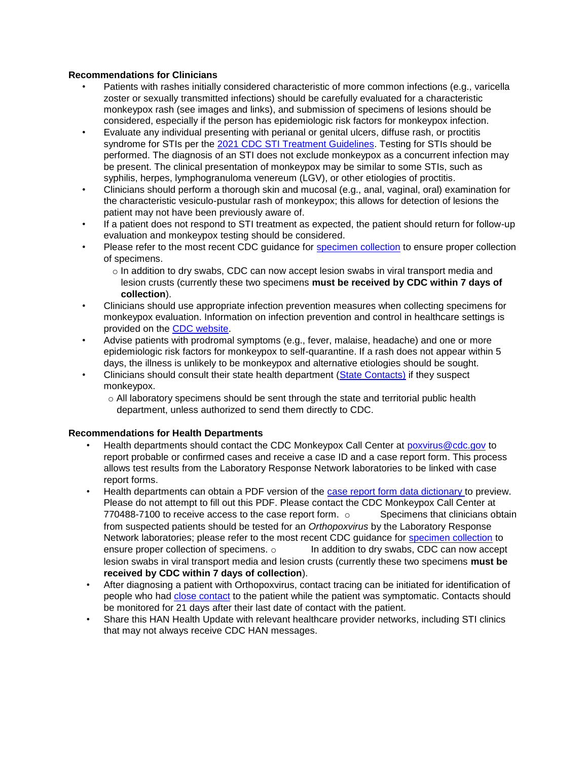#### **Recommendations for Clinicians**

- Patients with rashes initially considered characteristic of more common infections (e.g., varicella zoster or sexually transmitted infections) should be carefully evaluated for a characteristic monkeypox rash (see images and links), and submission of specimens of lesions should be considered, especially if the person has epidemiologic risk factors for monkeypox infection.
- Evaluate any individual presenting with perianal or genital ulcers, diffuse rash, or proctitis syndrome for STIs per the [2021 CDC STI Treatment Guidelines.](https://www.cdc.gov/std/treatment-guidelines/default.htm) Testing for STIs should be performed. The diagnosis of an STI does not exclude monkeypox as a concurrent infection may be present. The clinical presentation of monkeypox may be similar to some STIs, such as syphilis, herpes, lymphogranuloma venereum (LGV), or other etiologies of proctitis.
- Clinicians should perform a thorough skin and mucosal (e.g., anal, vaginal, oral) examination for the characteristic vesiculo-pustular rash of monkeypox; this allows for detection of lesions the patient may not have been previously aware of.
- If a patient does not respond to STI treatment as expected, the patient should return for follow-up evaluation and monkeypox testing should be considered.
- Please refer to the most recent CDC guidance for [specimen collection](https://www.cdc.gov/poxvirus/monkeypox/clinicians/prep-collection-specimens.html) [t](https://www.cdc.gov/poxvirus/monkeypox/clinicians/prep-collection-specimens.html)o ensure proper collection of specimens.
	- $\circ$  In addition to dry swabs, CDC can now accept lesion swabs in viral transport media and lesion crusts (currently these two specimens **must be received by CDC within 7 days of collection**).
- Clinicians should use appropriate infection prevention measures when collecting specimens for monkeypox evaluation. Information on infection prevention and control in healthcare settings is provided on the [CDC website.](https://www.cdc.gov/poxvirus/monkeypox/clinicians/infection-control-healthcare.html)
- Advise patients with prodromal symptoms (e.g., fever, malaise, headache) and one or more epidemiologic risk factors for monkeypox to self-quarantine. If a rash does not appear within 5 days, the illness is unlikely to be monkeypox and alternative etiologies should be sought.
- Clinicians should consult their state health department [\(State Contacts\)](https://resources.cste.org/epiafterhours) if they suspect monkeypox.
	- $\circ$  All laboratory specimens should be sent through the state and territorial public health department, unless authorized to send them directly to CDC.

#### **Recommendations for Health Departments**

- Health departments should contact the CDC Monkeypox Call Center at poxvirus@cdc.gov to report probable or confirmed cases and receive a case ID and a case report form. This process allows test results from the Laboratory Response Network laboratories to be linked with case report forms.
- Health departments can obtain a PDF version of the [case report form data dictionary to](https://www.cdc.gov/poxvirus/monkeypox/pdf/2022-Monkeypox-Outbreak-Case-Report-REDCap-20220603.pdf) preview. Please do not attempt to fill out this PDF. Please contact the CDC Monkeypox Call Center at  $770488-7100$  to receive access to the case report form.  $\circ$  Specimens that clinicians obtain from suspected patients should be tested for an *Orthopoxvirus* by the Laboratory Response Network laboratories; please refer to the most recent CDC guidance for [specimen collection](https://www.cdc.gov/poxvirus/monkeypox/clinicians/prep-collection-specimens.html) to ensure proper collection of specimens.  $\circ$  In addition to dry swabs, CDC can now accept lesion swabs in viral transport media and lesion crusts (currently these two specimens **must be received by CDC within 7 days of collection**).
- After diagnosing a patient with Orthopoxvirus, contact tracing can be initiated for identification of people who had [close contact](https://www.cdc.gov/poxvirus/monkeypox/clinicians/monitoring.html) [t](https://www.cdc.gov/poxvirus/monkeypox/clinicians/monitoring.html)o the patient while the patient was symptomatic. Contacts should be monitored for 21 days after their last date of contact with the patient.
- Share this HAN Health Update with relevant healthcare provider networks, including STI clinics that may not always receive CDC HAN messages.